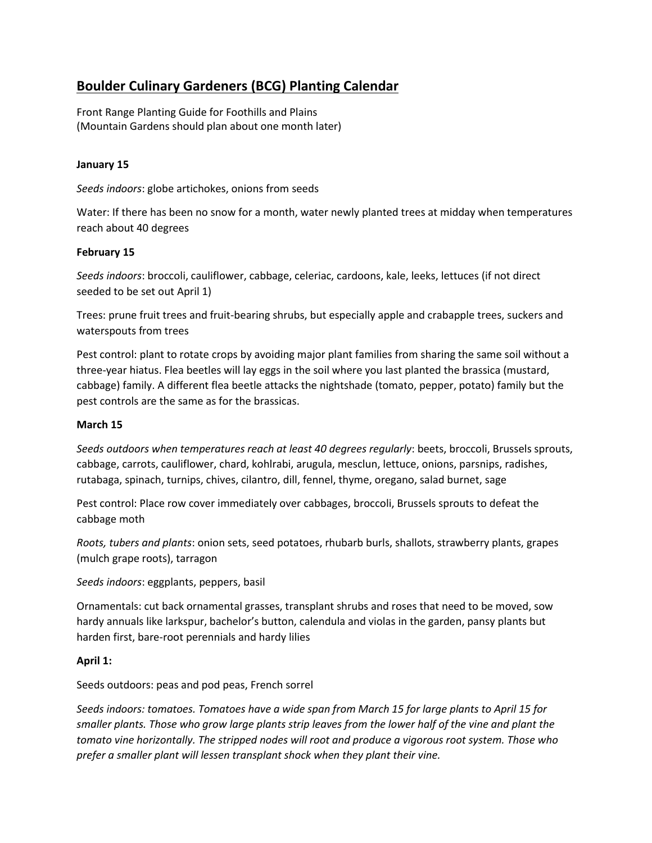# **Boulder Culinary Gardeners (BCG) Planting Calendar**

Front Range Planting Guide for Foothills and Plains (Mountain Gardens should plan about one month later)

# **January 15**

*Seeds indoors*: globe artichokes, onions from seeds

Water: If there has been no snow for a month, water newly planted trees at midday when temperatures reach about 40 degrees

# **February 15**

*Seeds indoors*: broccoli, cauliflower, cabbage, celeriac, cardoons, kale, leeks, lettuces (if not direct seeded to be set out April 1)

Trees: prune fruit trees and fruit-bearing shrubs, but especially apple and crabapple trees, suckers and waterspouts from trees

Pest control: plant to rotate crops by avoiding major plant families from sharing the same soil without a three-year hiatus. Flea beetles will lay eggs in the soil where you last planted the brassica (mustard, cabbage) family. A different flea beetle attacks the nightshade (tomato, pepper, potato) family but the pest controls are the same as for the brassicas.

## **March 15**

*Seeds outdoors when temperatures reach at least 40 degrees regularly*: beets, broccoli, Brussels sprouts, cabbage, carrots, cauliflower, chard, kohlrabi, arugula, mesclun, lettuce, onions, parsnips, radishes, rutabaga, spinach, turnips, chives, cilantro, dill, fennel, thyme, oregano, salad burnet, sage

Pest control: Place row cover immediately over cabbages, broccoli, Brussels sprouts to defeat the cabbage moth

*Roots, tubers and plants*: onion sets, seed potatoes, rhubarb burls, shallots, strawberry plants, grapes (mulch grape roots), tarragon

*Seeds indoors*: eggplants, peppers, basil

Ornamentals: cut back ornamental grasses, transplant shrubs and roses that need to be moved, sow hardy annuals like larkspur, bachelor's button, calendula and violas in the garden, pansy plants but harden first, bare-root perennials and hardy lilies

## **April 1:**

Seeds outdoors: peas and pod peas, French sorrel

*Seeds indoors: tomatoes. Tomatoes have a wide span from March 15 for large plants to April 15 for smaller plants. Those who grow large plants strip leaves from the lower half of the vine and plant the tomato vine horizontally. The stripped nodes will root and produce a vigorous root system. Those who prefer a smaller plant will lessen transplant shock when they plant their vine.*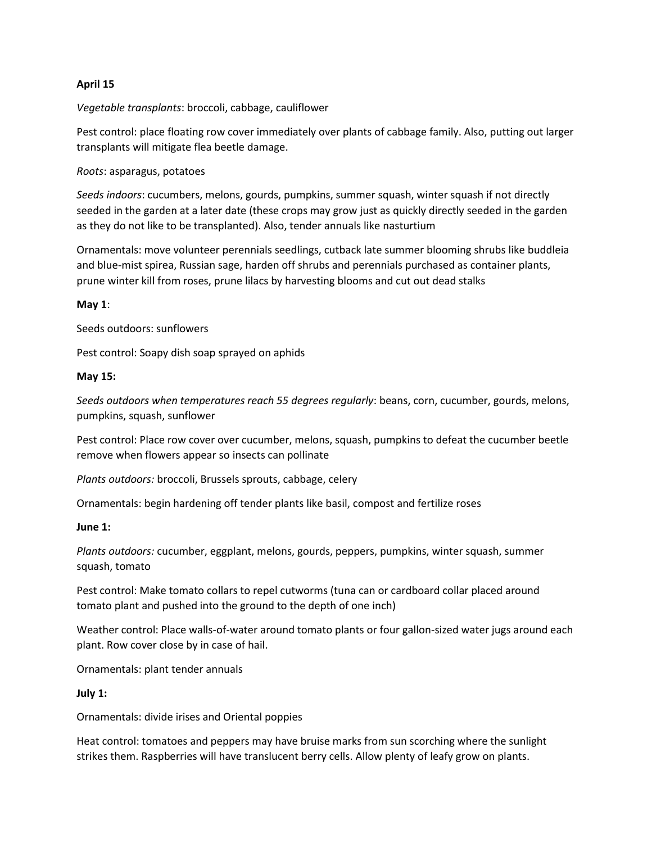## **April 15**

*Vegetable transplants*: broccoli, cabbage, cauliflower

Pest control: place floating row cover immediately over plants of cabbage family. Also, putting out larger transplants will mitigate flea beetle damage.

*Roots*: asparagus, potatoes

*Seeds indoors*: cucumbers, melons, gourds, pumpkins, summer squash, winter squash if not directly seeded in the garden at a later date (these crops may grow just as quickly directly seeded in the garden as they do not like to be transplanted). Also, tender annuals like nasturtium

Ornamentals: move volunteer perennials seedlings, cutback late summer blooming shrubs like buddleia and blue-mist spirea, Russian sage, harden off shrubs and perennials purchased as container plants, prune winter kill from roses, prune lilacs by harvesting blooms and cut out dead stalks

## **May 1**:

Seeds outdoors: sunflowers

Pest control: Soapy dish soap sprayed on aphids

#### **May 15:**

*Seeds outdoors when temperatures reach 55 degrees regularly*: beans, corn, cucumber, gourds, melons, pumpkins, squash, sunflower

Pest control: Place row cover over cucumber, melons, squash, pumpkins to defeat the cucumber beetle remove when flowers appear so insects can pollinate

*Plants outdoors:* broccoli, Brussels sprouts, cabbage, celery

Ornamentals: begin hardening off tender plants like basil, compost and fertilize roses

#### **June 1:**

*Plants outdoors:* cucumber, eggplant, melons, gourds, peppers, pumpkins, winter squash, summer squash, tomato

Pest control: Make tomato collars to repel cutworms (tuna can or cardboard collar placed around tomato plant and pushed into the ground to the depth of one inch)

Weather control: Place walls-of-water around tomato plants or four gallon-sized water jugs around each plant. Row cover close by in case of hail.

Ornamentals: plant tender annuals

#### **July 1:**

Ornamentals: divide irises and Oriental poppies

Heat control: tomatoes and peppers may have bruise marks from sun scorching where the sunlight strikes them. Raspberries will have translucent berry cells. Allow plenty of leafy grow on plants.